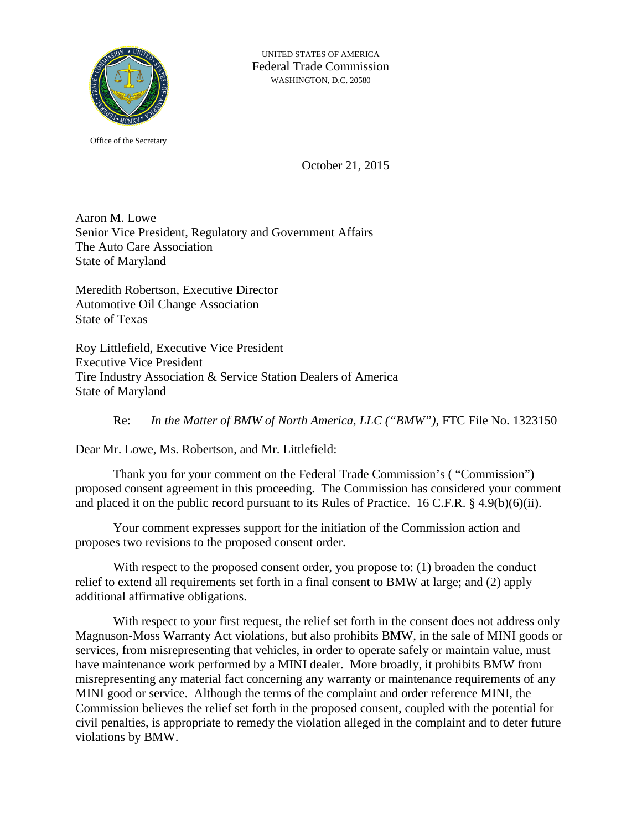

Office of the Secretary

October 21, 2015

Aaron M. Lowe Senior Vice President, Regulatory and Government Affairs The Auto Care Association State of Maryland

Meredith Robertson, Executive Director Automotive Oil Change Association State of Texas

Roy Littlefield, Executive Vice President Executive Vice President Tire Industry Association & Service Station Dealers of America State of Maryland

Re: *In the Matter of BMW of North America, LLC ("BMW")*, FTC File No. 1323150

Dear Mr. Lowe, Ms. Robertson, and Mr. Littlefield:

Thank you for your comment on the Federal Trade Commission's ( "Commission") proposed consent agreement in this proceeding. The Commission has considered your comment and placed it on the public record pursuant to its Rules of Practice. 16 C.F.R. § 4.9(b)(6)(ii).

Your comment expresses support for the initiation of the Commission action and proposes two revisions to the proposed consent order.

With respect to the proposed consent order, you propose to: (1) broaden the conduct relief to extend all requirements set forth in a final consent to BMW at large; and (2) apply additional affirmative obligations.

With respect to your first request, the relief set forth in the consent does not address only Magnuson-Moss Warranty Act violations, but also prohibits BMW, in the sale of MINI goods or services, from misrepresenting that vehicles, in order to operate safely or maintain value, must have maintenance work performed by a MINI dealer. More broadly, it prohibits BMW from misrepresenting any material fact concerning any warranty or maintenance requirements of any MINI good or service. Although the terms of the complaint and order reference MINI, the Commission believes the relief set forth in the proposed consent, coupled with the potential for civil penalties, is appropriate to remedy the violation alleged in the complaint and to deter future violations by BMW.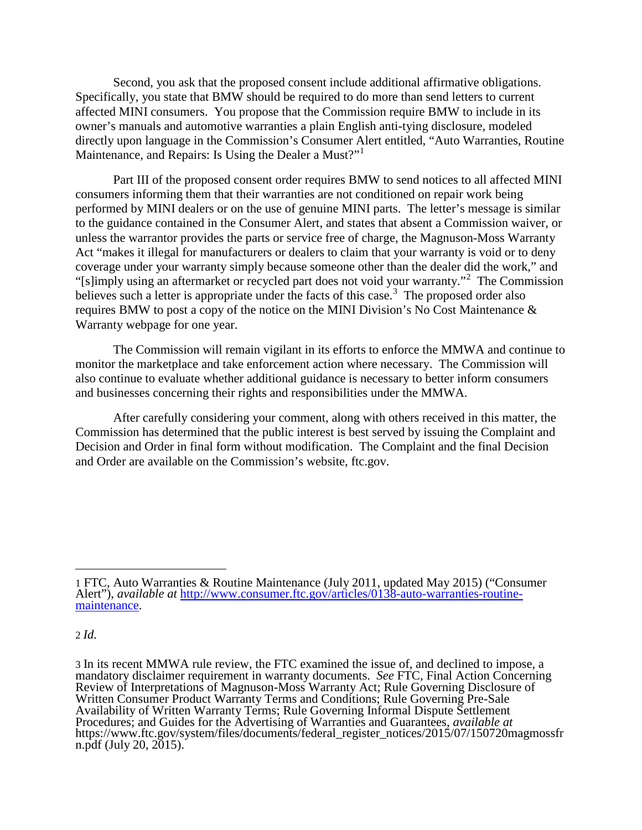Second, you ask that the proposed consent include additional affirmative obligations. Specifically, you state that BMW should be required to do more than send letters to current affected MINI consumers. You propose that the Commission require BMW to include in its owner's manuals and automotive warranties a plain English anti-tying disclosure, modeled directly upon language in the Commission's Consumer Alert entitled, "Auto Warranties, Routine Maintenance, and Repairs: Is Using the Dealer a Must?"<sup>[1](#page-1-0)</sup>

Part III of the proposed consent order requires BMW to send notices to all affected MINI consumers informing them that their warranties are not conditioned on repair work being performed by MINI dealers or on the use of genuine MINI parts. The letter's message is similar to the guidance contained in the Consumer Alert, and states that absent a Commission waiver, or unless the warrantor provides the parts or service free of charge, the Magnuson-Moss Warranty Act "makes it illegal for manufacturers or dealers to claim that your warranty is void or to deny coverage under your warranty simply because someone other than the dealer did the work," and "[s]imply using an aftermarket or recycled part does not void your warranty."<sup>[2](#page-1-1)</sup> The Commission believes such a letter is appropriate under the facts of this case.<sup>[3](#page-1-2)</sup> The proposed order also requires BMW to post a copy of the notice on the MINI Division's No Cost Maintenance & Warranty webpage for one year.

The Commission will remain vigilant in its efforts to enforce the MMWA and continue to monitor the marketplace and take enforcement action where necessary. The Commission will also continue to evaluate whether additional guidance is necessary to better inform consumers and businesses concerning their rights and responsibilities under the MMWA.

After carefully considering your comment, along with others received in this matter, the Commission has determined that the public interest is best served by issuing the Complaint and Decision and Order in final form without modification. The Complaint and the final Decision and Order are available on the Commission's website, ftc.gov.

## <span id="page-1-1"></span>2 *Id.*

 $\overline{a}$ 

<span id="page-1-0"></span><sup>1</sup> FTC, Auto Warranties & Routine Maintenance (July 2011, updated May 2015) ("Consumer Alert"), *available at* [http://www.consumer.ftc.gov/articles/0138-auto-warranties-routine-](http://www.consumer.ftc.gov/articles/0138-auto-warranties-routine-maintenance) [maintenance.](http://www.consumer.ftc.gov/articles/0138-auto-warranties-routine-maintenance)

<span id="page-1-2"></span><sup>3</sup> In its recent MMWA rule review, the FTC examined the issue of, and declined to impose, a mandatory disclaimer requirement in warranty documents. *See* FTC, Final Action Concerning Review of Interpretations of Magnuson-Moss Warranty Act; Rule Governing Disclosure of Written Consumer Product Warranty Terms and Conditions; Rule Governing Pre-Sale Availability of Written Warranty Terms; Rule Governing Informal Dispute Settlement Procedures; and Guides for the Advertising of Warranties and Guarantees, *available at* https://www.ftc.gov/system/files/documents/federal\_register\_notices/2015/07/150720magmossfr n.pdf (July 20, 2015).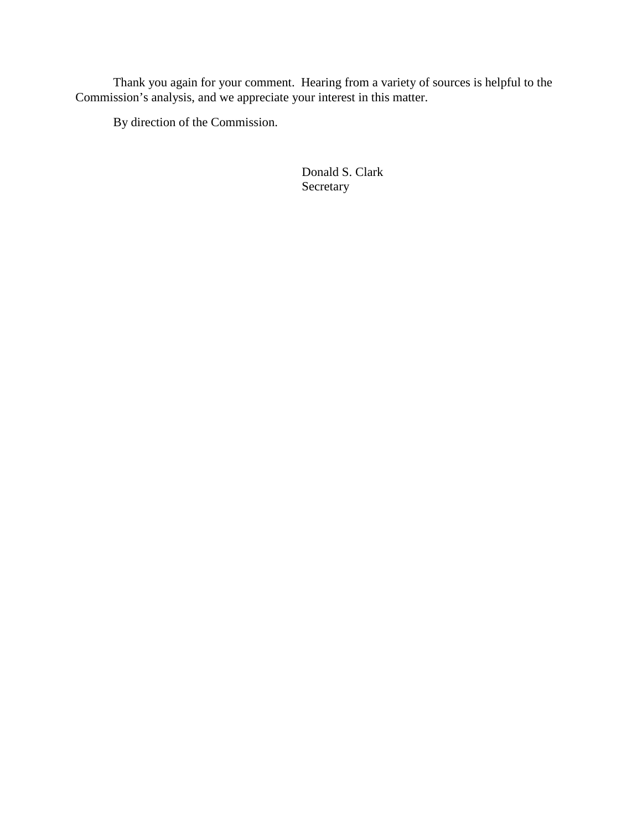Thank you again for your comment. Hearing from a variety of sources is helpful to the Commission's analysis, and we appreciate your interest in this matter.

By direction of the Commission.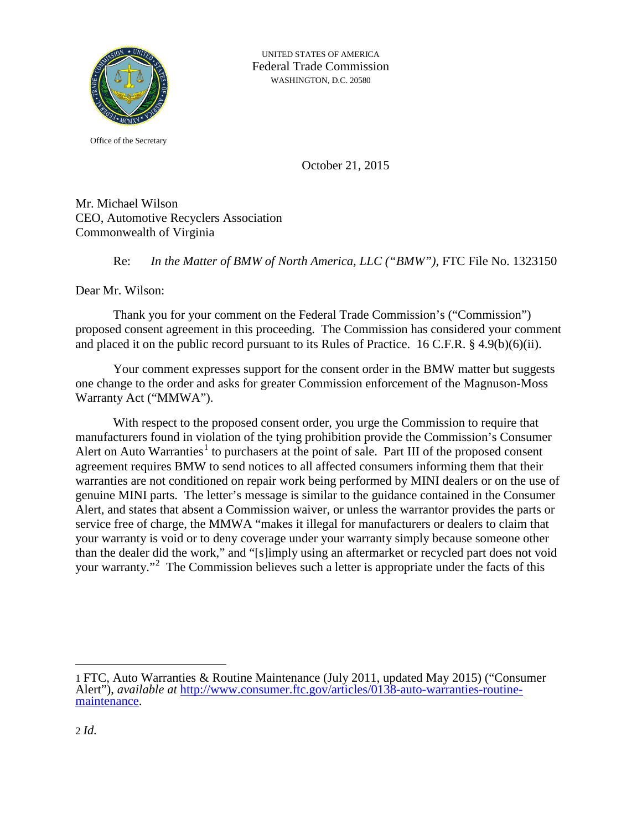

Office of the Secretary

October 21, 2015

Mr. Michael Wilson CEO, Automotive Recyclers Association Commonwealth of Virginia

Re: *In the Matter of BMW of North America, LLC ("BMW")*, FTC File No. 1323150

Dear Mr. Wilson:

Thank you for your comment on the Federal Trade Commission's ("Commission") proposed consent agreement in this proceeding. The Commission has considered your comment and placed it on the public record pursuant to its Rules of Practice. 16 C.F.R. § 4.9(b)(6)(ii).

Your comment expresses support for the consent order in the BMW matter but suggests one change to the order and asks for greater Commission enforcement of the Magnuson-Moss Warranty Act ("MMWA").

With respect to the proposed consent order, you urge the Commission to require that manufacturers found in violation of the tying prohibition provide the Commission's Consumer Alert on Auto Warranties<sup>[1](#page-3-0)</sup> to purchasers at the point of sale. Part III of the proposed consent agreement requires BMW to send notices to all affected consumers informing them that their warranties are not conditioned on repair work being performed by MINI dealers or on the use of genuine MINI parts. The letter's message is similar to the guidance contained in the Consumer Alert, and states that absent a Commission waiver, or unless the warrantor provides the parts or service free of charge, the MMWA "makes it illegal for manufacturers or dealers to claim that your warranty is void or to deny coverage under your warranty simply because someone other than the dealer did the work," and "[s]imply using an aftermarket or recycled part does not void your warranty."<sup>[2](#page-3-1)</sup> The Commission believes such a letter is appropriate under the facts of this

 $\overline{a}$ 

<span id="page-3-1"></span><span id="page-3-0"></span><sup>1</sup> FTC, Auto Warranties & Routine Maintenance (July 2011, updated May 2015) ("Consumer Alert"), *available at* [http://www.consumer.ftc.gov/articles/0138-auto-warranties-routine-](http://www.consumer.ftc.gov/articles/0138-auto-warranties-routine-maintenance) [maintenance.](http://www.consumer.ftc.gov/articles/0138-auto-warranties-routine-maintenance)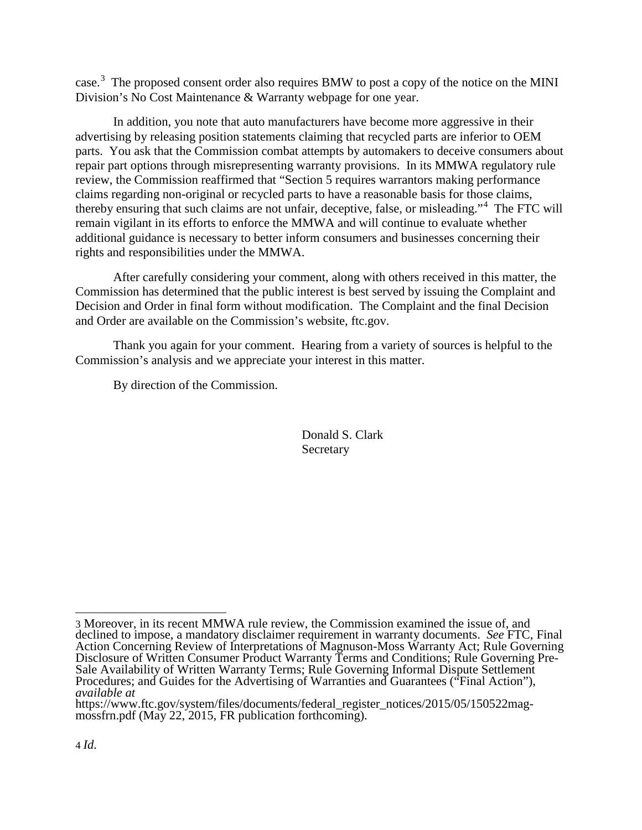case.<sup>[3](#page-4-0)</sup> The proposed consent order also requires BMW to post a copy of the notice on the MINI Division's No Cost Maintenance & Warranty webpage for one year.

In addition, you note that auto manufacturers have become more aggressive in their advertising by releasing position statements claiming that recycled parts are inferior to OEM parts. You ask that the Commission combat attempts by automakers to deceive consumers about repair part options through misrepresenting warranty provisions. In its MMWA regulatory rule review, the Commission reaffirmed that "Section 5 requires warrantors making performance claims regarding non-original or recycled parts to have a reasonable basis for those claims, thereby ensuring that such claims are not unfair, deceptive, false, or misleading."[4](#page-4-1) The FTC will remain vigilant in its efforts to enforce the MMWA and will continue to evaluate whether additional guidance is necessary to better inform consumers and businesses concerning their rights and responsibilities under the MMWA.

After carefully considering your comment, along with others received in this matter, the Commission has determined that the public interest is best served by issuing the Complaint and Decision and Order in final form without modification. The Complaint and the final Decision and Order are available on the Commission's website, ftc.gov.

Thank you again for your comment. Hearing from a variety of sources is helpful to the Commission's analysis and we appreciate your interest in this matter.

By direction of the Commission.

<span id="page-4-0"></span> <sup>3</sup> Moreover, in its recent MMWA rule review, the Commission examined the issue of, and declined to impose, a mandatory disclaimer requirement in warranty documents. *See* FTC, Final Action Concerning Review of Interpretations of Magnuson-Moss Warranty Act; Rule Governing Disclosure of Written Consumer Product Warranty Terms and Conditions; Rule Governing Pre- Sale Availability of Written Warranty Terms; Rule Governing Informal Dispute Settlement Procedures; and Guides for the Advertising of Warranties and Guarantees ("Final Action"), *available at*

<span id="page-4-1"></span>https://www.ftc.gov/system/files/documents/federal\_register\_notices/2015/05/150522mag- mossfrn.pdf (May 22, 2015, FR publication forthcoming).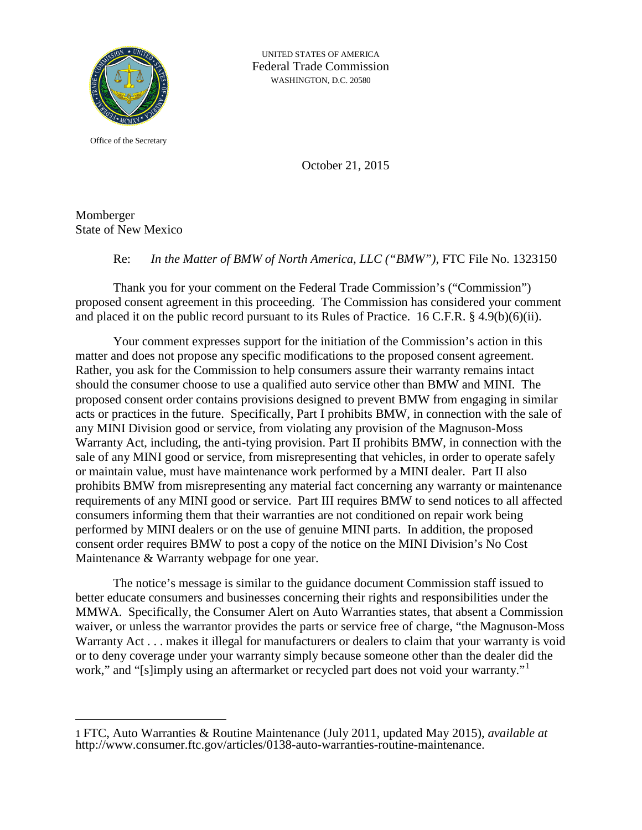

Office of the Secretary

October 21, 2015

Momberger State of New Mexico

 $\overline{a}$ 

## Re: *In the Matter of BMW of North America, LLC ("BMW")*, FTC File No. 1323150

Thank you for your comment on the Federal Trade Commission's ("Commission") proposed consent agreement in this proceeding. The Commission has considered your comment and placed it on the public record pursuant to its Rules of Practice. 16 C.F.R. § 4.9(b)(6)(ii).

Your comment expresses support for the initiation of the Commission's action in this matter and does not propose any specific modifications to the proposed consent agreement. Rather, you ask for the Commission to help consumers assure their warranty remains intact should the consumer choose to use a qualified auto service other than BMW and MINI. The proposed consent order contains provisions designed to prevent BMW from engaging in similar acts or practices in the future. Specifically, Part I prohibits BMW, in connection with the sale of any MINI Division good or service, from violating any provision of the Magnuson-Moss Warranty Act, including, the anti-tying provision. Part II prohibits BMW, in connection with the sale of any MINI good or service, from misrepresenting that vehicles, in order to operate safely or maintain value, must have maintenance work performed by a MINI dealer. Part II also prohibits BMW from misrepresenting any material fact concerning any warranty or maintenance requirements of any MINI good or service. Part III requires BMW to send notices to all affected consumers informing them that their warranties are not conditioned on repair work being performed by MINI dealers or on the use of genuine MINI parts. In addition, the proposed consent order requires BMW to post a copy of the notice on the MINI Division's No Cost Maintenance & Warranty webpage for one year.

The notice's message is similar to the guidance document Commission staff issued to better educate consumers and businesses concerning their rights and responsibilities under the MMWA. Specifically, the Consumer Alert on Auto Warranties states, that absent a Commission waiver, or unless the warrantor provides the parts or service free of charge, "the Magnuson-Moss Warranty Act . . . makes it illegal for manufacturers or dealers to claim that your warranty is void or to deny coverage under your warranty simply because someone other than the dealer did the work," and "[s]imply using an aftermarket or recycled part does not void your warranty."<sup>[1](#page-5-0)</sup>

<span id="page-5-0"></span><sup>1</sup> FTC, Auto Warranties & Routine Maintenance (July 2011, updated May 2015), *available at* http://www.consumer.ftc.gov/articles/0138-auto-warranties-routine-maintenance.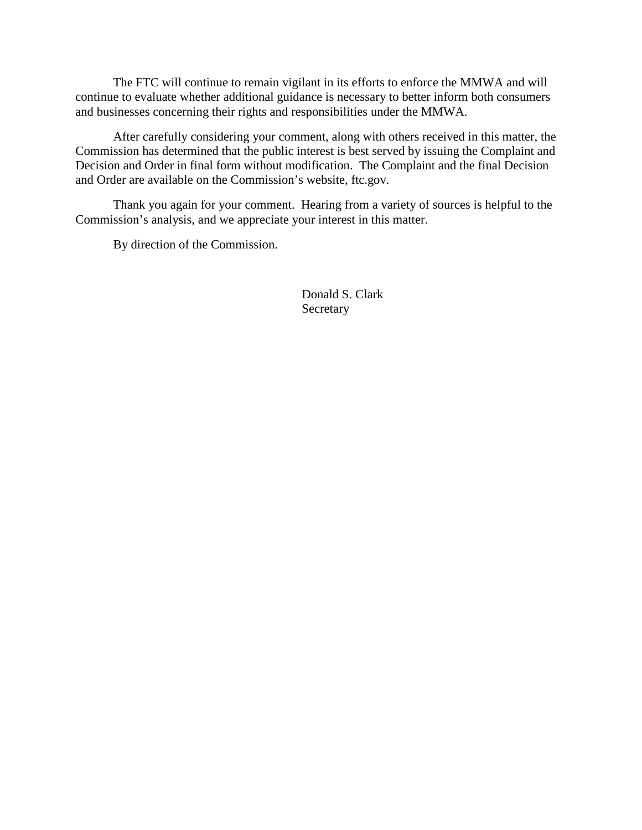The FTC will continue to remain vigilant in its efforts to enforce the MMWA and will continue to evaluate whether additional guidance is necessary to better inform both consumers and businesses concerning their rights and responsibilities under the MMWA.

After carefully considering your comment, along with others received in this matter, the Commission has determined that the public interest is best served by issuing the Complaint and Decision and Order in final form without modification. The Complaint and the final Decision and Order are available on the Commission's website, ftc.gov.

Thank you again for your comment. Hearing from a variety of sources is helpful to the Commission's analysis, and we appreciate your interest in this matter.

By direction of the Commission.